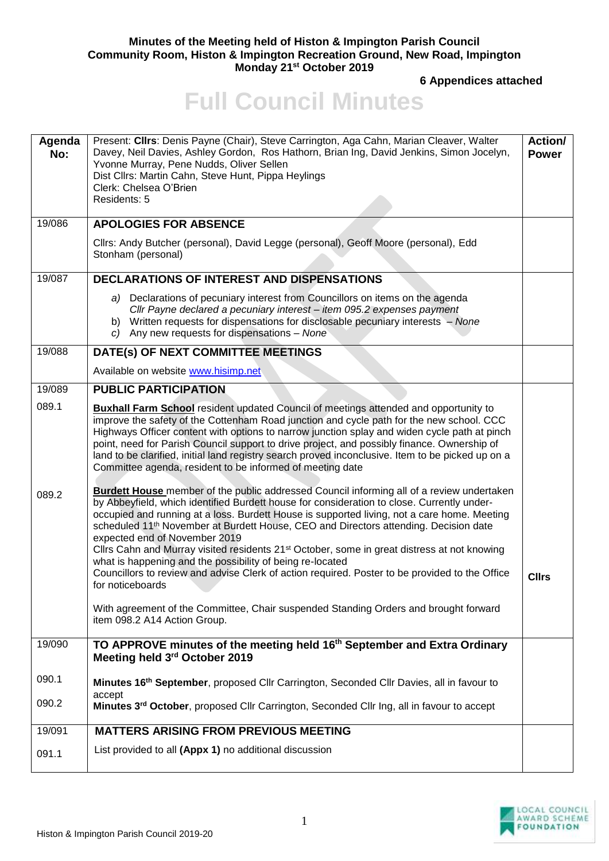## **Minutes of the Meeting held of Histon & Impington Parish Council Community Room, Histon & Impington Recreation Ground, New Road, Impington Monday 21st October 2019**

**6 Appendices attached**

## **Full Council Minutes**

| Agenda<br>No: | Present: Cllrs: Denis Payne (Chair), Steve Carrington, Aga Cahn, Marian Cleaver, Walter<br>Davey, Neil Davies, Ashley Gordon, Ros Hathorn, Brian Ing, David Jenkins, Simon Jocelyn,<br>Yvonne Murray, Pene Nudds, Oliver Sellen<br>Dist Cllrs: Martin Cahn, Steve Hunt, Pippa Heylings<br>Clerk: Chelsea O'Brien<br>Residents: 5                                                                                                                                                                                                                                                                                                                                                                                                                                                                                                                         | Action/<br><b>Power</b> |
|---------------|----------------------------------------------------------------------------------------------------------------------------------------------------------------------------------------------------------------------------------------------------------------------------------------------------------------------------------------------------------------------------------------------------------------------------------------------------------------------------------------------------------------------------------------------------------------------------------------------------------------------------------------------------------------------------------------------------------------------------------------------------------------------------------------------------------------------------------------------------------|-------------------------|
| 19/086        | <b>APOLOGIES FOR ABSENCE</b>                                                                                                                                                                                                                                                                                                                                                                                                                                                                                                                                                                                                                                                                                                                                                                                                                             |                         |
|               | Cllrs: Andy Butcher (personal), David Legge (personal), Geoff Moore (personal), Edd<br>Stonham (personal)                                                                                                                                                                                                                                                                                                                                                                                                                                                                                                                                                                                                                                                                                                                                                |                         |
| 19/087        | DECLARATIONS OF INTEREST AND DISPENSATIONS                                                                                                                                                                                                                                                                                                                                                                                                                                                                                                                                                                                                                                                                                                                                                                                                               |                         |
|               | a) Declarations of pecuniary interest from Councillors on items on the agenda<br>Cllr Payne declared a pecuniary interest - item 095.2 expenses payment<br>b) Written requests for dispensations for disclosable pecuniary interests - None<br>c) Any new requests for dispensations - None                                                                                                                                                                                                                                                                                                                                                                                                                                                                                                                                                              |                         |
| 19/088        | DATE(s) OF NEXT COMMITTEE MEETINGS                                                                                                                                                                                                                                                                                                                                                                                                                                                                                                                                                                                                                                                                                                                                                                                                                       |                         |
|               | Available on website www.hisimp.net                                                                                                                                                                                                                                                                                                                                                                                                                                                                                                                                                                                                                                                                                                                                                                                                                      |                         |
| 19/089        | <b>PUBLIC PARTICIPATION</b>                                                                                                                                                                                                                                                                                                                                                                                                                                                                                                                                                                                                                                                                                                                                                                                                                              |                         |
| 089.1         | <b>Buxhall Farm School</b> resident updated Council of meetings attended and opportunity to<br>improve the safety of the Cottenham Road junction and cycle path for the new school. CCC<br>Highways Officer content with options to narrow junction splay and widen cycle path at pinch<br>point, need for Parish Council support to drive project, and possibly finance. Ownership of<br>land to be clarified, initial land registry search proved inconclusive. Item to be picked up on a<br>Committee agenda, resident to be informed of meeting date                                                                                                                                                                                                                                                                                                 |                         |
| 089.2         | <b>Burdett House</b> member of the public addressed Council informing all of a review undertaken<br>by Abbeyfield, which identified Burdett house for consideration to close. Currently under-<br>occupied and running at a loss. Burdett House is supported living, not a care home. Meeting<br>scheduled 11 <sup>th</sup> November at Burdett House, CEO and Directors attending. Decision date<br>expected end of November 2019<br>Cllrs Cahn and Murray visited residents 21 <sup>st</sup> October, some in great distress at not knowing<br>what is happening and the possibility of being re-located<br>Councillors to review and advise Clerk of action required. Poster to be provided to the Office<br>for noticeboards<br>With agreement of the Committee, Chair suspended Standing Orders and brought forward<br>item 098.2 A14 Action Group. | <b>Cllrs</b>            |
| 19/090        | TO APPROVE minutes of the meeting held 16 <sup>th</sup> September and Extra Ordinary                                                                                                                                                                                                                                                                                                                                                                                                                                                                                                                                                                                                                                                                                                                                                                     |                         |
|               | Meeting held 3rd October 2019                                                                                                                                                                                                                                                                                                                                                                                                                                                                                                                                                                                                                                                                                                                                                                                                                            |                         |
| 090.1         | Minutes 16 <sup>th</sup> September, proposed Cllr Carrington, Seconded Cllr Davies, all in favour to<br>accept                                                                                                                                                                                                                                                                                                                                                                                                                                                                                                                                                                                                                                                                                                                                           |                         |
| 090.2         | Minutes 3rd October, proposed Cllr Carrington, Seconded Cllr Ing, all in favour to accept                                                                                                                                                                                                                                                                                                                                                                                                                                                                                                                                                                                                                                                                                                                                                                |                         |
| 19/091        | <b>MATTERS ARISING FROM PREVIOUS MEETING</b>                                                                                                                                                                                                                                                                                                                                                                                                                                                                                                                                                                                                                                                                                                                                                                                                             |                         |
| 091.1         | List provided to all (Appx 1) no additional discussion                                                                                                                                                                                                                                                                                                                                                                                                                                                                                                                                                                                                                                                                                                                                                                                                   |                         |

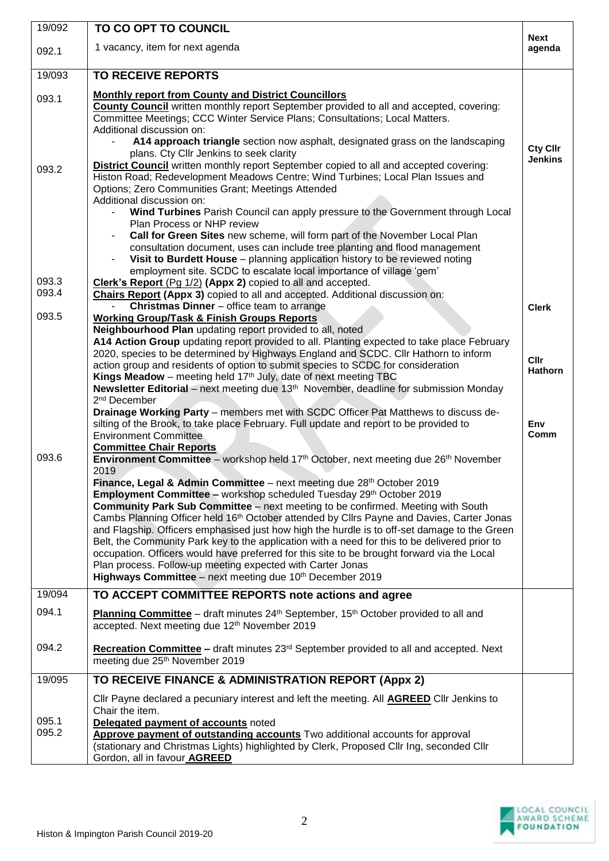| 19/092         | TO CO OPT TO COUNCIL                                                                                                                                                                                                                                                                                                                                                                                                                                                                                                                                                                                                                                                                                                                                                                                                                                                                                                                                                                                                                                                                                                                                                                                                                                                                                                                                                                                                                                                                                                                                                                                                                                                           |                                       |
|----------------|--------------------------------------------------------------------------------------------------------------------------------------------------------------------------------------------------------------------------------------------------------------------------------------------------------------------------------------------------------------------------------------------------------------------------------------------------------------------------------------------------------------------------------------------------------------------------------------------------------------------------------------------------------------------------------------------------------------------------------------------------------------------------------------------------------------------------------------------------------------------------------------------------------------------------------------------------------------------------------------------------------------------------------------------------------------------------------------------------------------------------------------------------------------------------------------------------------------------------------------------------------------------------------------------------------------------------------------------------------------------------------------------------------------------------------------------------------------------------------------------------------------------------------------------------------------------------------------------------------------------------------------------------------------------------------|---------------------------------------|
| 092.1          | 1 vacancy, item for next agenda                                                                                                                                                                                                                                                                                                                                                                                                                                                                                                                                                                                                                                                                                                                                                                                                                                                                                                                                                                                                                                                                                                                                                                                                                                                                                                                                                                                                                                                                                                                                                                                                                                                | <b>Next</b><br>agenda                 |
| 19/093         | <b>TO RECEIVE REPORTS</b>                                                                                                                                                                                                                                                                                                                                                                                                                                                                                                                                                                                                                                                                                                                                                                                                                                                                                                                                                                                                                                                                                                                                                                                                                                                                                                                                                                                                                                                                                                                                                                                                                                                      |                                       |
| 093.1          | <b>Monthly report from County and District Councillors</b><br><b>County Council</b> written monthly report September provided to all and accepted, covering:<br>Committee Meetings; CCC Winter Service Plans; Consultations; Local Matters.<br>Additional discussion on:                                                                                                                                                                                                                                                                                                                                                                                                                                                                                                                                                                                                                                                                                                                                                                                                                                                                                                                                                                                                                                                                                                                                                                                                                                                                                                                                                                                                       |                                       |
| 093.2          | A14 approach triangle section now asphalt, designated grass on the landscaping<br>plans. Cty Cllr Jenkins to seek clarity<br><b>District Council</b> written monthly report September copied to all and accepted covering:<br>Histon Road; Redevelopment Meadows Centre; Wind Turbines; Local Plan Issues and<br>Options; Zero Communities Grant; Meetings Attended<br>Additional discussion on:                                                                                                                                                                                                                                                                                                                                                                                                                                                                                                                                                                                                                                                                                                                                                                                                                                                                                                                                                                                                                                                                                                                                                                                                                                                                               | Cty Cllr<br><b>Jenkins</b>            |
|                | Wind Turbines Parish Council can apply pressure to the Government through Local<br>Plan Process or NHP review<br>Call for Green Sites new scheme, will form part of the November Local Plan<br>consultation document, uses can include tree planting and flood management                                                                                                                                                                                                                                                                                                                                                                                                                                                                                                                                                                                                                                                                                                                                                                                                                                                                                                                                                                                                                                                                                                                                                                                                                                                                                                                                                                                                      |                                       |
| 093.3          | Visit to Burdett House - planning application history to be reviewed noting<br>$\overline{\phantom{a}}$<br>employment site. SCDC to escalate local importance of village 'gem'<br>Clerk's Report (Pg 1/2) (Appx 2) copied to all and accepted.                                                                                                                                                                                                                                                                                                                                                                                                                                                                                                                                                                                                                                                                                                                                                                                                                                                                                                                                                                                                                                                                                                                                                                                                                                                                                                                                                                                                                                 |                                       |
| 093.4          | Chairs Report (Appx 3) copied to all and accepted. Additional discussion on:<br>Christmas Dinner - office team to arrange                                                                                                                                                                                                                                                                                                                                                                                                                                                                                                                                                                                                                                                                                                                                                                                                                                                                                                                                                                                                                                                                                                                                                                                                                                                                                                                                                                                                                                                                                                                                                      | <b>Clerk</b>                          |
| 093.5          | <b>Working Group/Task &amp; Finish Groups Reports</b>                                                                                                                                                                                                                                                                                                                                                                                                                                                                                                                                                                                                                                                                                                                                                                                                                                                                                                                                                                                                                                                                                                                                                                                                                                                                                                                                                                                                                                                                                                                                                                                                                          |                                       |
| 093.6          | Neighbourhood Plan updating report provided to all, noted<br>A14 Action Group updating report provided to all. Planting expected to take place February<br>2020, species to be determined by Highways England and SCDC. Cllr Hathorn to inform<br>action group and residents of option to submit species to SCDC for consideration<br>Kings Meadow – meeting held $17th$ July, date of next meeting TBC<br>Newsletter Editorial – next meeting due 13 <sup>th</sup> November, deadline for submission Monday<br>2 <sup>nd</sup> December<br>Drainage Working Party - members met with SCDC Officer Pat Matthews to discuss de-<br>silting of the Brook, to take place February. Full update and report to be provided to<br><b>Environment Committee</b><br><b>Committee Chair Reports</b><br>Environment Committee – workshop held 17th October, next meeting due 26th November<br>2019<br>Finance, Legal & Admin Committee – next meeting due 28th October 2019<br>Employment Committee - workshop scheduled Tuesday 29th October 2019<br><b>Community Park Sub Committee</b> – next meeting to be confirmed. Meeting with South<br>Cambs Planning Officer held 16 <sup>th</sup> October attended by Cllrs Payne and Davies, Carter Jonas<br>and Flagship. Officers emphasised just how high the hurdle is to off-set damage to the Green<br>Belt, the Community Park key to the application with a need for this to be delivered prior to<br>occupation. Officers would have preferred for this site to be brought forward via the Local<br>Plan process. Follow-up meeting expected with Carter Jonas<br><b>Highways Committee</b> – next meeting due $10th$ December 2019 | Cllr<br><b>Hathorn</b><br>Env<br>Comm |
| 19/094         | TO ACCEPT COMMITTEE REPORTS note actions and agree                                                                                                                                                                                                                                                                                                                                                                                                                                                                                                                                                                                                                                                                                                                                                                                                                                                                                                                                                                                                                                                                                                                                                                                                                                                                                                                                                                                                                                                                                                                                                                                                                             |                                       |
| 094.1          | <b>Planning Committee</b> – draft minutes $24th$ September, 15 <sup>th</sup> October provided to all and<br>accepted. Next meeting due 12 <sup>th</sup> November 2019                                                                                                                                                                                                                                                                                                                                                                                                                                                                                                                                                                                                                                                                                                                                                                                                                                                                                                                                                                                                                                                                                                                                                                                                                                                                                                                                                                                                                                                                                                          |                                       |
| 094.2          | <b>Recreation Committee –</b> draft minutes $23rd$ September provided to all and accepted. Next<br>meeting due 25 <sup>th</sup> November 2019                                                                                                                                                                                                                                                                                                                                                                                                                                                                                                                                                                                                                                                                                                                                                                                                                                                                                                                                                                                                                                                                                                                                                                                                                                                                                                                                                                                                                                                                                                                                  |                                       |
| 19/095         | TO RECEIVE FINANCE & ADMINISTRATION REPORT (Appx 2)                                                                                                                                                                                                                                                                                                                                                                                                                                                                                                                                                                                                                                                                                                                                                                                                                                                                                                                                                                                                                                                                                                                                                                                                                                                                                                                                                                                                                                                                                                                                                                                                                            |                                       |
| 095.1<br>095.2 | Cllr Payne declared a pecuniary interest and left the meeting. All <b>AGREED</b> Cllr Jenkins to<br>Chair the item.<br>Delegated payment of accounts noted<br>Approve payment of outstanding accounts Two additional accounts for approval<br>(stationary and Christmas Lights) highlighted by Clerk, Proposed Cllr Ing, seconded Cllr<br>Gordon, all in favour AGREED                                                                                                                                                                                                                                                                                                                                                                                                                                                                                                                                                                                                                                                                                                                                                                                                                                                                                                                                                                                                                                                                                                                                                                                                                                                                                                         |                                       |

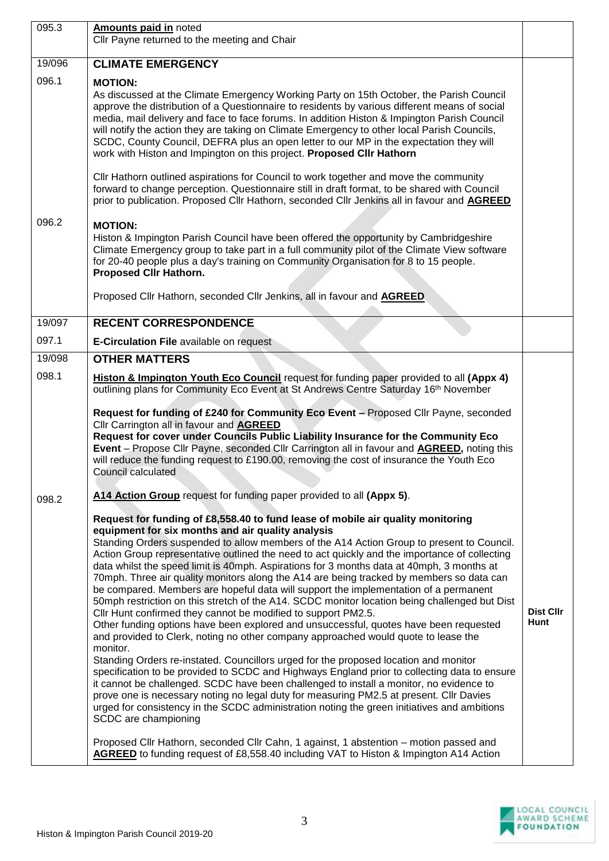| 095.3  | Amounts paid in noted                                                                                                                                                                                                                                                                                                                                                                                                                                                                                                                                                                                                                                                                                                                                                                                                                                                                                                                                                                                                                                                                                                                                                                                                                                                                                                                                                                                                                                                                 |                   |
|--------|---------------------------------------------------------------------------------------------------------------------------------------------------------------------------------------------------------------------------------------------------------------------------------------------------------------------------------------------------------------------------------------------------------------------------------------------------------------------------------------------------------------------------------------------------------------------------------------------------------------------------------------------------------------------------------------------------------------------------------------------------------------------------------------------------------------------------------------------------------------------------------------------------------------------------------------------------------------------------------------------------------------------------------------------------------------------------------------------------------------------------------------------------------------------------------------------------------------------------------------------------------------------------------------------------------------------------------------------------------------------------------------------------------------------------------------------------------------------------------------|-------------------|
|        | Cllr Payne returned to the meeting and Chair                                                                                                                                                                                                                                                                                                                                                                                                                                                                                                                                                                                                                                                                                                                                                                                                                                                                                                                                                                                                                                                                                                                                                                                                                                                                                                                                                                                                                                          |                   |
| 19/096 | <b>CLIMATE EMERGENCY</b>                                                                                                                                                                                                                                                                                                                                                                                                                                                                                                                                                                                                                                                                                                                                                                                                                                                                                                                                                                                                                                                                                                                                                                                                                                                                                                                                                                                                                                                              |                   |
| 096.1  | <b>MOTION:</b><br>As discussed at the Climate Emergency Working Party on 15th October, the Parish Council<br>approve the distribution of a Questionnaire to residents by various different means of social<br>media, mail delivery and face to face forums. In addition Histon & Impington Parish Council<br>will notify the action they are taking on Climate Emergency to other local Parish Councils,<br>SCDC, County Council, DEFRA plus an open letter to our MP in the expectation they will<br>work with Histon and Impington on this project. Proposed CIIr Hathorn                                                                                                                                                                                                                                                                                                                                                                                                                                                                                                                                                                                                                                                                                                                                                                                                                                                                                                           |                   |
|        | Cllr Hathorn outlined aspirations for Council to work together and move the community<br>forward to change perception. Questionnaire still in draft format, to be shared with Council<br>prior to publication. Proposed Cllr Hathorn, seconded Cllr Jenkins all in favour and <b>AGREED</b>                                                                                                                                                                                                                                                                                                                                                                                                                                                                                                                                                                                                                                                                                                                                                                                                                                                                                                                                                                                                                                                                                                                                                                                           |                   |
| 096.2  | <b>MOTION:</b><br>Histon & Impington Parish Council have been offered the opportunity by Cambridgeshire<br>Climate Emergency group to take part in a full community pilot of the Climate View software<br>for 20-40 people plus a day's training on Community Organisation for 8 to 15 people.<br>Proposed Cllr Hathorn.                                                                                                                                                                                                                                                                                                                                                                                                                                                                                                                                                                                                                                                                                                                                                                                                                                                                                                                                                                                                                                                                                                                                                              |                   |
|        | Proposed Cllr Hathorn, seconded Cllr Jenkins, all in favour and AGREED                                                                                                                                                                                                                                                                                                                                                                                                                                                                                                                                                                                                                                                                                                                                                                                                                                                                                                                                                                                                                                                                                                                                                                                                                                                                                                                                                                                                                |                   |
| 19/097 | <b>RECENT CORRESPONDENCE</b>                                                                                                                                                                                                                                                                                                                                                                                                                                                                                                                                                                                                                                                                                                                                                                                                                                                                                                                                                                                                                                                                                                                                                                                                                                                                                                                                                                                                                                                          |                   |
| 097.1  | <b>E-Circulation File available on request</b>                                                                                                                                                                                                                                                                                                                                                                                                                                                                                                                                                                                                                                                                                                                                                                                                                                                                                                                                                                                                                                                                                                                                                                                                                                                                                                                                                                                                                                        |                   |
| 19/098 | <b>OTHER MATTERS</b>                                                                                                                                                                                                                                                                                                                                                                                                                                                                                                                                                                                                                                                                                                                                                                                                                                                                                                                                                                                                                                                                                                                                                                                                                                                                                                                                                                                                                                                                  |                   |
| 098.1  | Histon & Impington Youth Eco Council request for funding paper provided to all (Appx 4)<br>outlining plans for Community Eco Event at St Andrews Centre Saturday 16th November                                                                                                                                                                                                                                                                                                                                                                                                                                                                                                                                                                                                                                                                                                                                                                                                                                                                                                                                                                                                                                                                                                                                                                                                                                                                                                        |                   |
|        | Request for funding of £240 for Community Eco Event - Proposed Cllr Payne, seconded<br>Cllr Carrington all in favour and <b>AGREED</b><br>Request for cover under Councils Public Liability Insurance for the Community Eco<br>Event - Propose Cllr Payne, seconded Cllr Carrington all in favour and <b>AGREED</b> , noting this<br>will reduce the funding request to £190.00, removing the cost of insurance the Youth Eco<br>Council calculated                                                                                                                                                                                                                                                                                                                                                                                                                                                                                                                                                                                                                                                                                                                                                                                                                                                                                                                                                                                                                                   |                   |
| 098.2  | A14 Action Group request for funding paper provided to all (Appx 5).                                                                                                                                                                                                                                                                                                                                                                                                                                                                                                                                                                                                                                                                                                                                                                                                                                                                                                                                                                                                                                                                                                                                                                                                                                                                                                                                                                                                                  |                   |
|        | Request for funding of £8,558.40 to fund lease of mobile air quality monitoring<br>equipment for six months and air quality analysis<br>Standing Orders suspended to allow members of the A14 Action Group to present to Council.<br>Action Group representative outlined the need to act quickly and the importance of collecting<br>data whilst the speed limit is 40mph. Aspirations for 3 months data at 40mph, 3 months at<br>70mph. Three air quality monitors along the A14 are being tracked by members so data can<br>be compared. Members are hopeful data will support the implementation of a permanent<br>50mph restriction on this stretch of the A14. SCDC monitor location being challenged but Dist<br>Cllr Hunt confirmed they cannot be modified to support PM2.5.<br>Other funding options have been explored and unsuccessful, quotes have been requested<br>and provided to Clerk, noting no other company approached would quote to lease the<br>monitor.<br>Standing Orders re-instated. Councillors urged for the proposed location and monitor<br>specification to be provided to SCDC and Highways England prior to collecting data to ensure<br>it cannot be challenged. SCDC have been challenged to install a monitor, no evidence to<br>prove one is necessary noting no legal duty for measuring PM2.5 at present. Cllr Davies<br>urged for consistency in the SCDC administration noting the green initiatives and ambitions<br>SCDC are championing | Dist Cllr<br>Hunt |
|        | Proposed Cllr Hathorn, seconded Cllr Cahn, 1 against, 1 abstention – motion passed and<br>AGREED to funding request of £8,558.40 including VAT to Histon & Impington A14 Action                                                                                                                                                                                                                                                                                                                                                                                                                                                                                                                                                                                                                                                                                                                                                                                                                                                                                                                                                                                                                                                                                                                                                                                                                                                                                                       |                   |